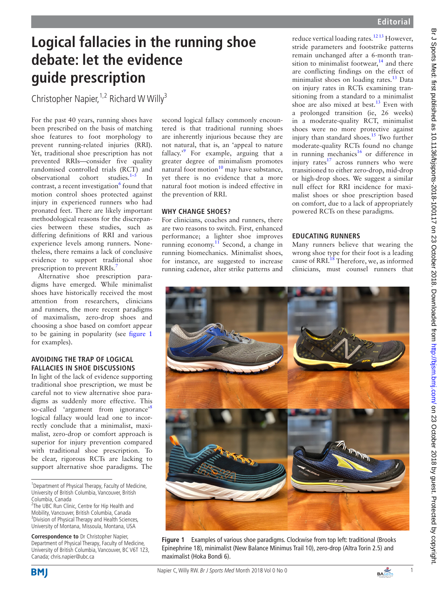# **Logical fallacies in the running shoe debate: let the evidence guide prescription**

Christopher Napier,  $1,2$  Richard W Willy<sup>3</sup>

For the past 40 years, running shoes have been prescribed on the basis of matching shoe features to foot morphology to prevent running-related injuries (RRI). Yet, traditional shoe prescription has not prevented RRIs—consider five quality randomised controlled trials (RCT) and observational cohort studies.[1–5](#page-1-0) In contrast, a recent investigation<sup>[6](#page-1-1)</sup> found that motion control shoes protected against injury in experienced runners who had pronated feet. There are likely important methodological reasons for the discrepancies between these studies, such as differing definitions of RRI and various experience levels among runners. Nonetheless, there remains a lack of conclusive evidence to support traditional shoe prescription to prevent RRIs.<sup>[7](#page-1-2)</sup>

Alternative shoe prescription paradigms have emerged. While minimalist shoes have historically received the most attention from researchers, clinicians and runners, the more recent paradigms of maximalism, zero-drop shoes and choosing a shoe based on comfort appear to be gaining in popularity (see [figure](#page-0-0) 1 for examples).

## **Avoiding the trap of logical fallacies in shoe discussions**

In light of the lack of evidence supporting traditional shoe prescription, we must be careful not to view alternative shoe paradigms as suddenly more effective. This so-called 'argument from ignorance'<sup>[8](#page-1-3)</sup> logical fallacy would lead one to incorrectly conclude that a minimalist, maximalist, zero-drop or comfort approach is superior for injury prevention compared with traditional shoe prescription. To be clear, rigorous RCTs are lacking to support alternative shoe paradigms. The

**Correspondence to** Dr Christopher Napier, Department of Physical Therapy, Faculty of Medicine, University of British Columbia, Vancouver, BC V6T 1Z3, Canada; chris.napier@ubc.ca

second logical fallacy commonly encountered is that traditional running shoes are inherently injurious because they are not natural, that is, an 'appeal to nature fallacy.<sup>59</sup> For example, arguing that a greater degree of minimalism promotes natural foot motion $10$  may have substance, yet there is no evidence that a more natural foot motion is indeed effective in the prevention of RRI.

## **Why change shoes?**

For clinicians, coaches and runners, there are two reasons to switch. First, enhanced performance; a lighter shoe improves running economy.<sup>[11](#page-1-6)</sup> Second, a change in running biomechanics. Minimalist shoes, for instance, are suggested to increase running cadence, alter strike patterns and reduce vertical loading rates.<sup>12 13</sup> However, stride parameters and footstrike patterns remain unchanged after a 6-month transition to minimalist footwear, $14$  and there are conflicting findings on the effect of minimalist shoes on loading rates.<sup>13</sup> Data on injury rates in RCTs examining transitioning from a standard to a minimalist shoe are also mixed at best. $13$  Even with a prolonged transition (ie, 26 weeks) in a moderate-quality RCT, minimalist shoes were no more protective against injury than standard shoes.<sup>15</sup> Two further moderate-quality RCTs found no change in running mechanics<sup>16</sup> or difference in injury rates<sup>17</sup> across runners who were transitioned to either zero-drop, mid-drop or high-drop shoes. We suggest a similar null effect for RRI incidence for maximalist shoes or shoe prescription based on comfort, due to a lack of appropriately powered RCTs on these paradigms.

## **Educating runners**

Many runners believe that wearing the wrong shoe type for their foot is a leading cause of RRI.<sup>[18](#page-1-13)</sup> Therefore, we, as informed clinicians, must counsel runners that



**Figure 1** Examples of various shoe paradigms. Clockwise from top left: traditional (Brooks Epinephrine 18), minimalist (New Balance Minimus Trail 10), zero-drop (Altra Torin 2.5) and maximalist (Hoka Bondi 6).

<span id="page-0-0"></span>



<sup>&</sup>lt;sup>1</sup> Department of Physical Therapy, Faculty of Medicine, University of British Columbia, Vancouver, British Columbia, Canada

<sup>&</sup>lt;sup>2</sup>The UBC Run Clinic, Centre for Hip Health and Mobility, Vancouver, British Columbia, Canada <sup>3</sup> Division of Physical Therapy and Health Sciences, University of Montana, Missoula, Montana, USA